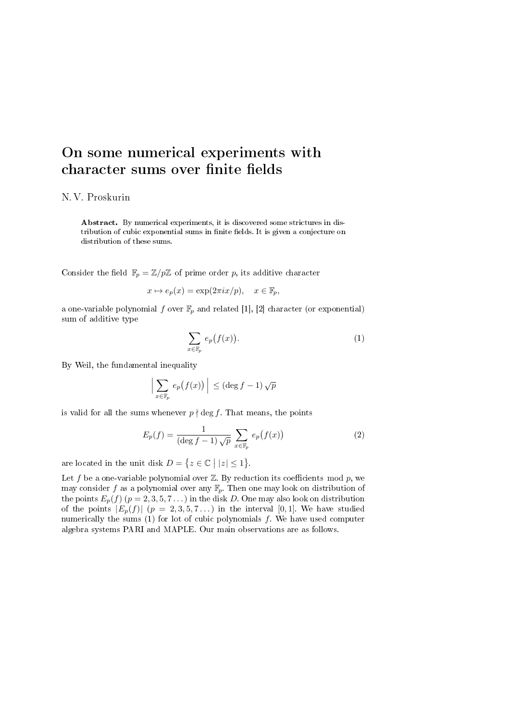## On some numerical experiments with character sums over finite fields

## N. V. Proskurin

Abstract. By numerical experiments, it is discovered some strictures in distribution of cubic exponential sums in finite fields. It is given a conjecture on distribution of these sums.

Consider the field  $\mathbb{F}_p = \mathbb{Z}/p\mathbb{Z}$  of prime order p, its additive character

$$
x \mapsto e_p(x) = \exp(2\pi ix/p), \quad x \in \mathbb{F}_p,
$$

a one-variable polynomial f over  $\mathbb{F}_p$  and related [1], [2] character (or exponential) sum of additive type

$$
\sum_{x \in \mathbb{F}_p} e_p(f(x)). \tag{1}
$$

By Weil, the fundamental inequality

$$
\left|\sum_{x\in\mathbb{F}_p} e_p(f(x))\right| \leq (\deg f - 1)\sqrt{p}
$$

is valid for all the sums whenever  $p \nmid \deg f$ . That means, the points

$$
E_p(f) = \frac{1}{(\deg f - 1)\sqrt{p}} \sum_{x \in \mathbb{F}_p} e_p(f(x)) \tag{2}
$$

are located in the unit disk  $D = \{z \in \mathbb{C} \mid |z| \leq 1\}.$ 

Let  $f$  be a one-variable polynomial over  $\mathbb Z$ . By reduction its coefficients mod  $p$ , we may consider f as a polynomial over any  $\mathbb{F}_p$ . Then one may look on distribution of the points  $E_p(f)(p=2,3,5,7...)$  in the disk D. One may also look on distribution of the points  $|E_p(f)| (p = 2, 3, 5, 7...)$  in the interval [0, 1]. We have studied numerically the sums  $(1)$  for lot of cubic polynomials  $f$ . We have used computer algebra systems PARI and MAPLE. Our main observations are as follows.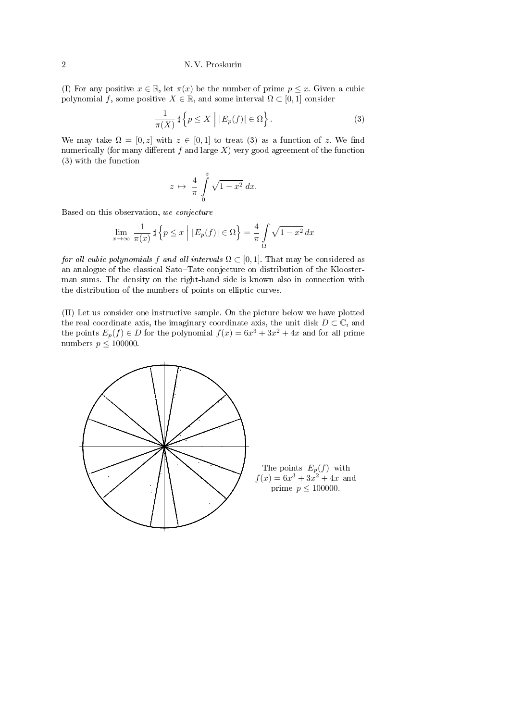## 2 N. V. Proskurin

(I) For any positive  $x \in \mathbb{R}$ , let  $\pi(x)$  be the number of prime  $p \leq x$ . Given a cubic polynomial f, some positive  $X \in \mathbb{R}$ , and some interval  $\Omega \subset [0,1]$  consider

$$
\frac{1}{\pi(X)} \sharp \left\{ p \le X \mid |E_p(f)| \in \Omega \right\}.
$$
 (3)

We may take  $\Omega = [0, z]$  with  $z \in [0, 1]$  to treat (3) as a function of z. We find numerically (for many different f and large  $X$ ) very good agreement of the function (3) with the function

$$
z \mapsto \frac{4}{\pi} \int\limits_{0}^{z} \sqrt{1 - x^2} \, dx.
$$

Based on this observation, we conjecture

$$
\lim_{x \to \infty} \frac{1}{\pi(x)} \sharp \left\{ p \le x \mid |E_p(f)| \in \Omega \right\} = \frac{4}{\pi} \int_{\Omega} \sqrt{1 - x^2} \, dx
$$

for all cubic polynomials f and all intervals  $\Omega \subset [0, 1]$ . That may be considered as an analogue of the classical Sato-Tate conjecture on distribution of the Kloosterman sums. The density on the right-hand side is known also in connection with the distribution of the numbers of points on elliptic curves.

(II) Let us consider one instructive sample. On the picture below we have plotted the real coordinate axis, the imaginary coordinate axis, the unit disk  $D \subset \mathbb{C}$ , and the points  $E_p(f) \in D$  for the polynomial  $f(x) = 6x^3 + 3x^2 + 4x$  and for all prime numbers  $p \leq 100000$ .